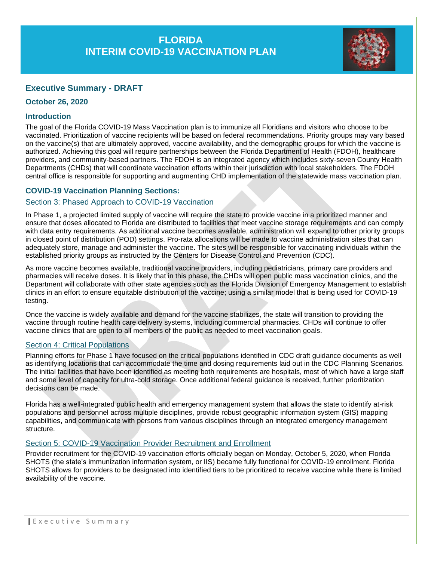# **FLORIDA INTERIM COVID-19 VACCINATION PLAN**



## **Executive Summary - DRAFT**

## **October 26, 2020**

## **Introduction**

The goal of the Florida COVID-19 Mass Vaccination plan is to immunize all Floridians and visitors who choose to be vaccinated. Prioritization of vaccine recipients will be based on federal recommendations. Priority groups may vary based on the vaccine(s) that are ultimately approved, vaccine availability, and the demographic groups for which the vaccine is authorized. Achieving this goal will require partnerships between the Florida Department of Health (FDOH), healthcare providers, and community-based partners. The FDOH is an integrated agency which includes sixty-seven County Health Departments (CHDs) that will coordinate vaccination efforts within their jurisdiction with local stakeholders. The FDOH central office is responsible for supporting and augmenting CHD implementation of the statewide mass vaccination plan.

## **COVID-19 Vaccination Planning Sections:**

#### Section 3: Phased Approach to COVID-19 Vaccination

In Phase 1, a projected limited supply of vaccine will require the state to provide vaccine in a prioritized manner and ensure that doses allocated to Florida are distributed to facilities that meet vaccine storage requirements and can comply with data entry requirements. As additional vaccine becomes available, administration will expand to other priority groups in closed point of distribution (POD) settings. Pro-rata allocations will be made to vaccine administration sites that can adequately store, manage and administer the vaccine. The sites will be responsible for vaccinating individuals within the established priority groups as instructed by the Centers for Disease Control and Prevention (CDC).

As more vaccine becomes available, traditional vaccine providers, including pediatricians, primary care providers and pharmacies will receive doses. It is likely that in this phase, the CHDs will open public mass vaccination clinics, and the Department will collaborate with other state agencies such as the Florida Division of Emergency Management to establish clinics in an effort to ensure equitable distribution of the vaccine; using a similar model that is being used for COVID-19 testing.

Once the vaccine is widely available and demand for the vaccine stabilizes, the state will transition to providing the vaccine through routine health care delivery systems, including commercial pharmacies. CHDs will continue to offer vaccine clinics that are open to all members of the public as needed to meet vaccination goals.

## **Section 4: Critical Populations**

Planning efforts for Phase 1 have focused on the critical populations identified in CDC draft guidance documents as well as identifying locations that can accommodate the time and dosing requirements laid out in the CDC Planning Scenarios. The initial facilities that have been identified as meeting both requirements are hospitals, most of which have a large staff and some level of capacity for ultra-cold storage. Once additional federal guidance is received, further prioritization decisions can be made.

Florida has a well-integrated public health and emergency management system that allows the state to identify at-risk populations and personnel across multiple disciplines, provide robust geographic information system (GIS) mapping capabilities, and communicate with persons from various disciplines through an integrated emergency management structure.

#### Section 5: COVID-19 Vaccination Provider Recruitment and Enrollment

Provider recruitment for the COVID-19 vaccination efforts officially began on Monday, October 5, 2020, when Florida SHOTS (the state's immunization information system, or IIS) became fully functional for COVID-19 enrollment. Florida SHOTS allows for providers to be designated into identified tiers to be prioritized to receive vaccine while there is limited availability of the vaccine.